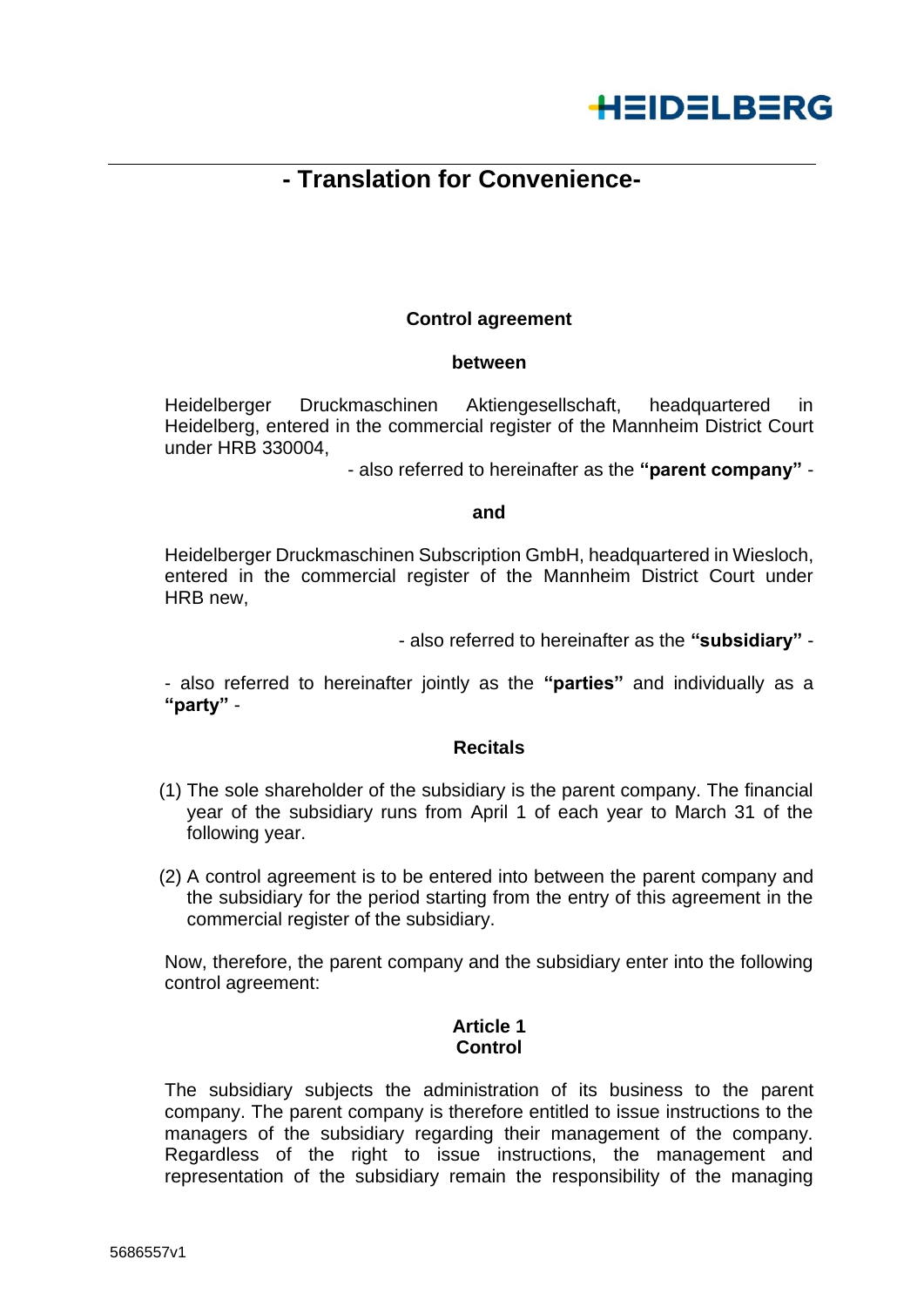

# **- Translation for Convenience-**

## **Control agreement**

#### **between**

Heidelberger Druckmaschinen Aktiengesellschaft, headquartered in Heidelberg, entered in the commercial register of the Mannheim District Court under HRB 330004,

- also referred to hereinafter as the **"parent company"** -

#### **and**

Heidelberger Druckmaschinen Subscription GmbH, headquartered in Wiesloch, entered in the commercial register of the Mannheim District Court under HRB new,

- also referred to hereinafter as the **"subsidiary"** -

- also referred to hereinafter jointly as the **"parties"** and individually as a **"party"** -

#### **Recitals**

- (1) The sole shareholder of the subsidiary is the parent company. The financial year of the subsidiary runs from April 1 of each year to March 31 of the following year.
- (2) A control agreement is to be entered into between the parent company and the subsidiary for the period starting from the entry of this agreement in the commercial register of the subsidiary.

Now, therefore, the parent company and the subsidiary enter into the following control agreement:

### **Article 1 Control**

The subsidiary subjects the administration of its business to the parent company. The parent company is therefore entitled to issue instructions to the managers of the subsidiary regarding their management of the company. Regardless of the right to issue instructions, the management and representation of the subsidiary remain the responsibility of the managing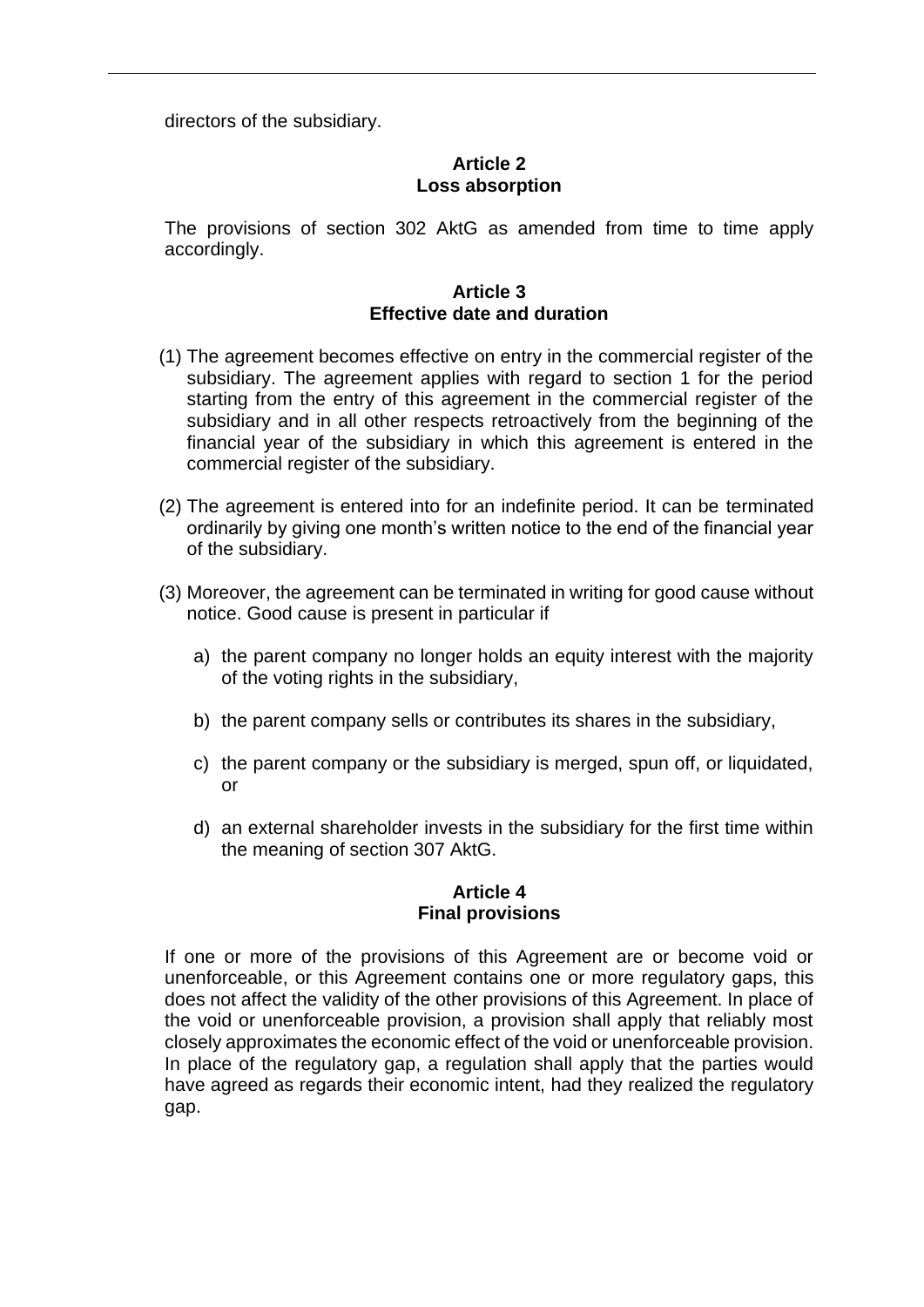directors of the subsidiary.

## **Article 2 Loss absorption**

The provisions of section 302 AktG as amended from time to time apply accordingly.

## **Article 3 Effective date and duration**

- (1) The agreement becomes effective on entry in the commercial register of the subsidiary. The agreement applies with regard to section 1 for the period starting from the entry of this agreement in the commercial register of the subsidiary and in all other respects retroactively from the beginning of the financial year of the subsidiary in which this agreement is entered in the commercial register of the subsidiary.
- (2) The agreement is entered into for an indefinite period. It can be terminated ordinarily by giving one month's written notice to the end of the financial year of the subsidiary.
- (3) Moreover, the agreement can be terminated in writing for good cause without notice. Good cause is present in particular if
	- a) the parent company no longer holds an equity interest with the majority of the voting rights in the subsidiary,
	- b) the parent company sells or contributes its shares in the subsidiary,
	- c) the parent company or the subsidiary is merged, spun off, or liquidated, or
	- d) an external shareholder invests in the subsidiary for the first time within the meaning of section 307 AktG.

## **Article 4 Final provisions**

If one or more of the provisions of this Agreement are or become void or unenforceable, or this Agreement contains one or more regulatory gaps, this does not affect the validity of the other provisions of this Agreement. In place of the void or unenforceable provision, a provision shall apply that reliably most closely approximates the economic effect of the void or unenforceable provision. In place of the regulatory gap, a regulation shall apply that the parties would have agreed as regards their economic intent, had they realized the regulatory gap.